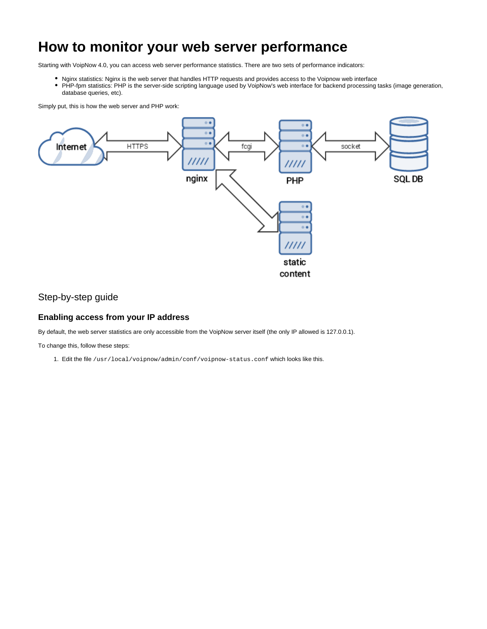# <span id="page-0-0"></span>**How to monitor your web server performance**

Starting with VoipNow 4.0, you can access web server performance statistics. There are two sets of performance indicators:

- Nginx statistics: Nginx is the web server that handles HTTP requests and provides access to the Voipnow web interface
- PHP-fpm statistics: PHP is the server-side scripting language used by VoipNow's web interface for backend processing tasks (image generation, database queries, etc).

Simply put, this is how the web server and PHP work:



## Step-by-step guide

#### **Enabling access from your IP address**

By default, the web server statistics are only accessible from the VoipNow server itself (the only IP allowed is 127.0.0.1).

To change this, follow these steps:

1. Edit the file /usr/local/voipnow/admin/conf/voipnow-status.conf which looks like this.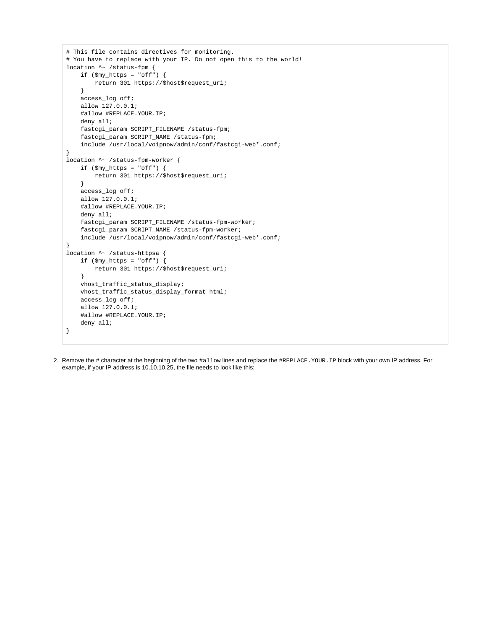```
# This file contains directives for monitoring.
# You have to replace with your IP. Do not open this to the world!
location ^~ /status-fpm {
    if ($my_https = "off") {
         return 301 https://$host$request_uri;
     }
     access_log off;
     allow 127.0.0.1;
     #allow #REPLACE.YOUR.IP;
     deny all;
     fastcgi_param SCRIPT_FILENAME /status-fpm;
     fastcgi_param SCRIPT_NAME /status-fpm;
     include /usr/local/voipnow/admin/conf/fastcgi-web*.conf;
}
location ^~ /status-fpm-worker {
    if ($my https = "off") {
         return 301 https://$host$request_uri;
     }
    access log off;
     allow 127.0.0.1;
     #allow #REPLACE.YOUR.IP;
     deny all;
     fastcgi_param SCRIPT_FILENAME /status-fpm-worker;
     fastcgi_param SCRIPT_NAME /status-fpm-worker;
     include /usr/local/voipnow/admin/conf/fastcgi-web*.conf;
}
location \sim /status-httpsa {
     if ($my_https = "off") {
         return 301 https://$host$request_uri;
     }
     vhost_traffic_status_display;
     vhost_traffic_status_display_format html;
     access_log off;
     allow 127.0.0.1;
     #allow #REPLACE.YOUR.IP;
     deny all;
}
```
2. Remove the # character at the beginning of the two #allow lines and replace the #REPLACE.YOUR.IP block with your own IP address. For example, if your IP address is 10.10.10.25, the file needs to look like this: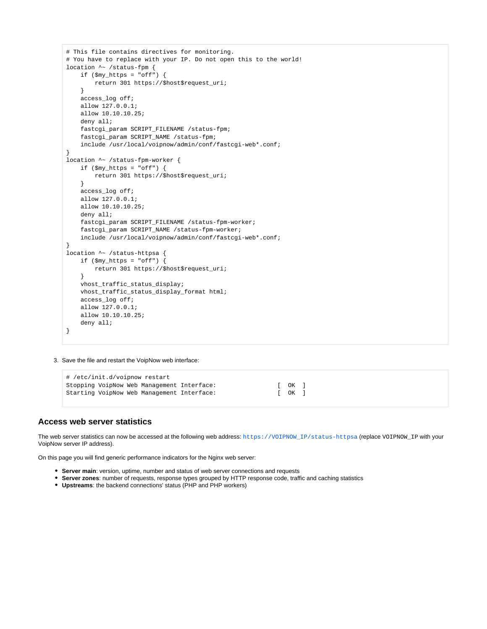```
# This file contains directives for monitoring.
# You have to replace with your IP. Do not open this to the world!
location ^~ /status-fpm {
    if ($my_https = "off") {
         return 301 https://$host$request_uri;
     }
    access_log off;
    allow 127.0.0.1;
    allow 10.10.10.25;
     deny all;
    fastcgi_param SCRIPT_FILENAME /status-fpm;
     fastcgi_param SCRIPT_NAME /status-fpm;
    include /usr/local/voipnow/admin/conf/fastcgi-web*.conf;
}
location ^~ /status-fpm-worker {
   if ($my https = "off") {
         return 301 https://$host$request_uri;
     }
   access log off;
    allow 127.0.0.1;
    allow 10.10.10.25;
     deny all;
     fastcgi_param SCRIPT_FILENAME /status-fpm-worker;
     fastcgi_param SCRIPT_NAME /status-fpm-worker;
    include /usr/local/voipnow/admin/conf/fastcgi-web*.conf;
}
location ^~ /status-httpsa {
   if (\text{Smy}\_\text{https://www.spt.015cm/s} return 301 https://$host$request_uri;
     }
     vhost_traffic_status_display;
    vhost_traffic_status_display_format html;
     access_log off;
    allow 127.0.0.1;
     allow 10.10.10.25;
     deny all;
}
```
3. Save the file and restart the VoipNow web interface:

```
# /etc/init.d/voipnow restart
Stopping VoipNow Web Management Interface: [ OK ]<br>Starting VoipNow Web Management Interface: [ OK ]
Starting VoipNow Web Management Interface:
```
#### **Access web server statistics**

The web server statistics can now be accessed at the following web address: [https://VOIPNOW\\_IP/status-httpsa](https://VOIPNOW_IP/status-httpsa) (replace VOIPNOW\_IP with your VoipNow server IP address).

On this page you will find generic performance indicators for the Nginx web server:

- **Server main**: version, uptime, number and status of web server connections and requests
- **Server zones**: number of requests, response types grouped by HTTP response code, traffic and caching statistics
- **Upstreams**: the backend connections' status (PHP and PHP workers)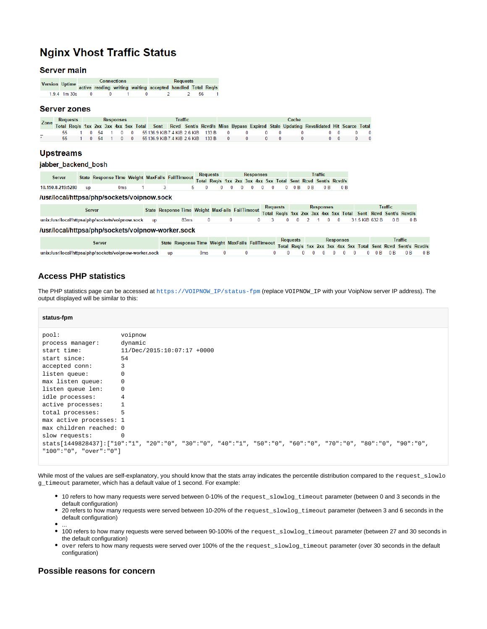## **Nginx Vhost Traffic Status**

#### **Server main**

| <b>Version Uptime</b> |                  |  | <b>Connections</b> | <b>Requests</b>                                             |  |     |  |  |  |  |  |  |
|-----------------------|------------------|--|--------------------|-------------------------------------------------------------|--|-----|--|--|--|--|--|--|
|                       |                  |  |                    | active reading writing waiting accepted handled Total Req/s |  |     |  |  |  |  |  |  |
|                       | $1.9.4$ 1m $30s$ |  |                    |                                                             |  | -56 |  |  |  |  |  |  |

#### **Server zones**

| Zone | Requests |  | <b>Responses</b> |  |                                                  | Traffic |  |  |              | Cache    |                                                                 |                                                                                                                               |  |                          |  |  |  |
|------|----------|--|------------------|--|--------------------------------------------------|---------|--|--|--------------|----------|-----------------------------------------------------------------|-------------------------------------------------------------------------------------------------------------------------------|--|--------------------------|--|--|--|
|      |          |  |                  |  |                                                  |         |  |  |              |          |                                                                 | Total Reg/s 1xx 2xx 3xx 4xx 5xx Total Sent Rcvd Sent/s Rcvd/s Miss Bypass Expired Stale Updating Revalidated Hit Scarce Total |  |                          |  |  |  |
|      |          |  |                  |  |                                                  |         |  |  |              |          | 55 1 0 54 1 0 0 55136.9 KiB7.4 KiB2.6 KiB 133 B 0 0 0 0 0 0 0 0 |                                                                                                                               |  | $0\quad 0\quad 0\quad 0$ |  |  |  |
|      |          |  |                  |  | 0 54 1 0 0 55136.9 KiB 7.4 KiB 2.6 KiB 133 B 0 0 |         |  |  | $\mathbf{a}$ | $\sim$ 0 |                                                                 |                                                                                                                               |  |                          |  |  |  |

#### **Upstreams**

#### jabber\_backend\_bosh

| Server               |  |                 |  | State Response Time Weight MaxFails FailTimeout Total Reg/s 1xx 2xx 3xx 4xx 5xx Total Sent Rcvd Sent/s Rcv <sup>3</sup> |  |  |  |  |  |  |  |  |  |
|----------------------|--|-----------------|--|-------------------------------------------------------------------------------------------------------------------------|--|--|--|--|--|--|--|--|--|
|                      |  |                 |  |                                                                                                                         |  |  |  |  |  |  |  |  |  |
| 10.150.8.219:5280 up |  | 0 <sub>ms</sub> |  |                                                                                                                         |  |  |  |  |  |  |  |  |  |

#### /usr/local/httpsa/php/sockets/voipnow.sock

| <b>Server</b>                                      |  |      |  |                              | State Response Time Weight MaxFails FailTimeout |  | <b>Requests</b> |  |  | <b>Responses</b> |  | Traffic |  |  |                                                               |  |
|----------------------------------------------------|--|------|--|------------------------------|-------------------------------------------------|--|-----------------|--|--|------------------|--|---------|--|--|---------------------------------------------------------------|--|
|                                                    |  |      |  |                              |                                                 |  |                 |  |  |                  |  |         |  |  | Total Reg/s 1xx 2xx 3xx 4xx 5xx Total Sent Rcvd Sent/s Rcvd/s |  |
| unix:/usr/local/httpsa/php/sockets/voipnow.sock up |  | 83ms |  | $\mathbf{a}$<br>$\mathbf{u}$ |                                                 |  |                 |  |  |                  |  |         |  |  | 0 3 0 0 2 1 0 0 31.5 KiB 632 B 0 B 0 B                        |  |
| /usr/local/httpsa/php/sockets/voipnow-worker.sock  |  |      |  |                              |                                                 |  |                 |  |  |                  |  |         |  |  |                                                               |  |

| State Response Time Weight MaxFails FailTimeout Total Req/s 1xx 2xx 3xx 4xx 5xx Total Sent Revd Sent/s Rever<br>Server |           |     |  |  |  |  |  |  |  |  | Traffic |  |  |  |
|------------------------------------------------------------------------------------------------------------------------|-----------|-----|--|--|--|--|--|--|--|--|---------|--|--|--|
|                                                                                                                        |           |     |  |  |  |  |  |  |  |  |         |  |  |  |
| unix:/usr/local/httpsa/php/sockets/voipnow-worker.sock                                                                 | <b>UD</b> | Oms |  |  |  |  |  |  |  |  |         |  |  |  |

### **Access PHP statistics**

The PHP statistics page can be accessed at [https://VOIPNOW\\_IP/status-fpm](https://VOIPNOW_IP/status-fpm) (replace VOIPNOW\_IP with your VoipNow server IP address). The output displayed will be similar to this:

#### **status-fpm**

| pool:                   | voipnow                                                                                                      |
|-------------------------|--------------------------------------------------------------------------------------------------------------|
| process manager:        | dynamic                                                                                                      |
| start time:             | 11/Dec/2015:10:07:17 +0000                                                                                   |
| start since:            | 54                                                                                                           |
| accepted conn:          | 3                                                                                                            |
| listen queue:           | $\mathbf 0$                                                                                                  |
| max listen queue:       | 0                                                                                                            |
| listen queue len:       | $\mathbf 0$                                                                                                  |
| idle processes:         | $\overline{4}$                                                                                               |
| active processes:       |                                                                                                              |
| total processes:        | 5                                                                                                            |
| max active processes: 1 |                                                                                                              |
| max children reached: 0 |                                                                                                              |
| slow requests:          | 0                                                                                                            |
|                         | stats[1449828437]:["10":"1", "20":"0", "30":"0", "40":"1", "50":"0", "60":"0", "70":"0", "80":"0", "90":"0", |
| "100":"0", "over":"0"]  |                                                                                                              |
|                         |                                                                                                              |

While most of the values are self-explanatory, you should know that the stats array indicates the percentile distribution compared to the request\_slowlo g\_timeout parameter, which has a default value of 1 second. For example:

- 10 refers to how many requests were served between 0-10% of the request\_slowlog\_timeout parameter (between 0 and 3 seconds in the default configuration)
- 20 refers to how many requests were served between 10-20% of the request\_slowlog\_timeout parameter (between 3 and 6 seconds in the default configuration)
- ...
- 100 refers to how many requests were served between 90-100% of the request\_slowlog\_timeout parameter (between 27 and 30 seconds in the default configuration)
- $\bullet$ over refers to how many requests were served over 100% of the the request\_slowlog\_timeout parameter (over 30 seconds in the default configuration)

#### **Possible reasons for concern**